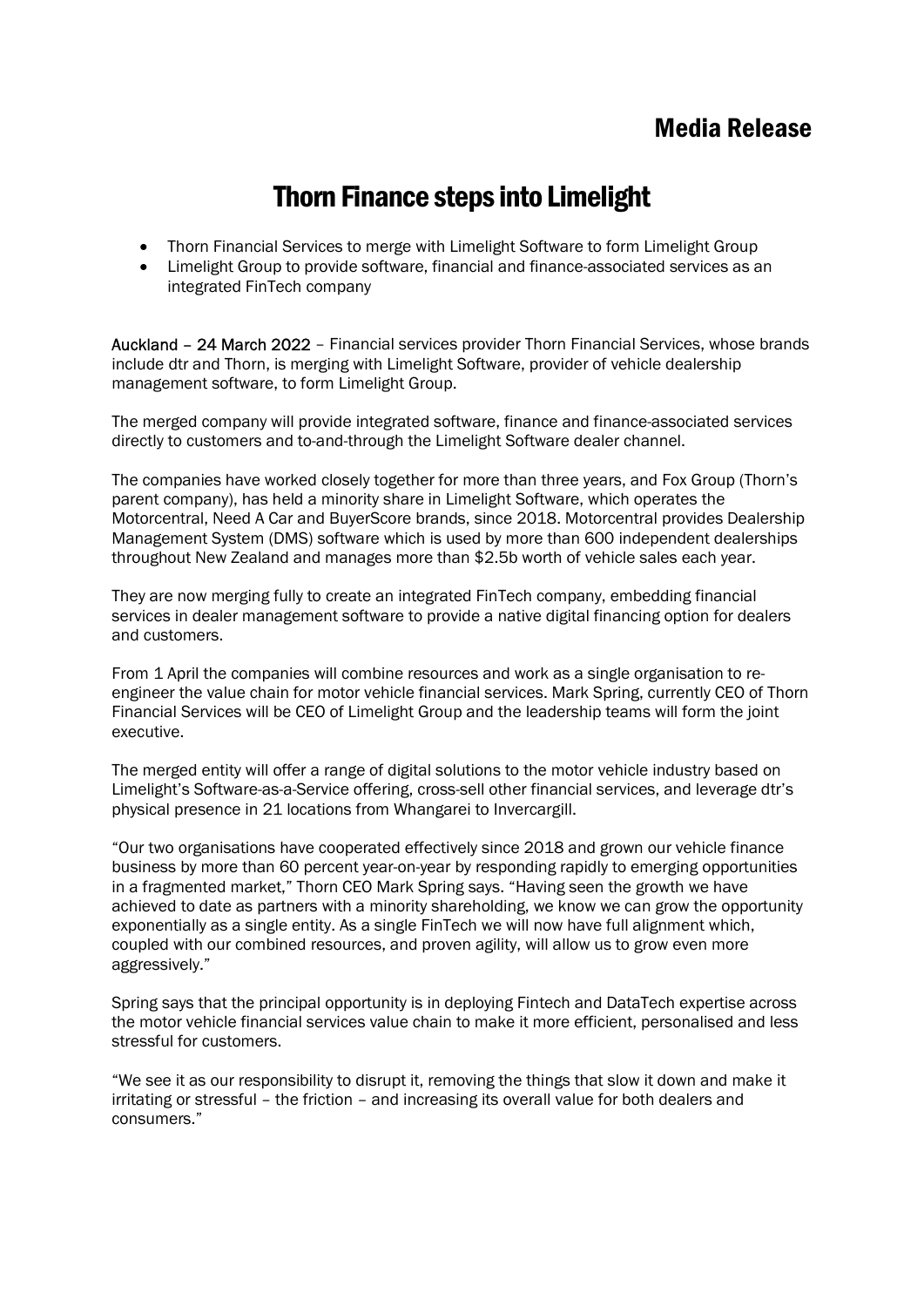# Thorn Finance steps into Limelight

- Thorn Financial Services to merge with Limelight Software to form Limelight Group
- Limelight Group to provide software, financial and finance-associated services as an integrated FinTech company

Auckland – 24 March 2022 – Financial services provider Thorn Financial Services, whose brands include dtr and Thorn, is merging with Limelight Software, provider of vehicle dealership management software, to form Limelight Group.

The merged company will provide integrated software, finance and finance-associated services directly to customers and to-and-through the Limelight Software dealer channel.

The companies have worked closely together for more than three years, and Fox Group (Thorn's parent company), has held a minority share in Limelight Software, which operates the Motorcentral, Need A Car and BuyerScore brands, since 2018. Motorcentral provides Dealership Management System (DMS) software which is used by more than 600 independent dealerships throughout New Zealand and manages more than \$2.5b worth of vehicle sales each year.

They are now merging fully to create an integrated FinTech company, embedding financial services in dealer management software to provide a native digital financing option for dealers and customers.

From 1 April the companies will combine resources and work as a single organisation to reengineer the value chain for motor vehicle financial services. Mark Spring, currently CEO of Thorn Financial Services will be CEO of Limelight Group and the leadership teams will form the joint executive.

The merged entity will offer a range of digital solutions to the motor vehicle industry based on Limelight's Software-as-a-Service offering, cross-sell other financial services, and leverage dtr's physical presence in 21 locations from Whangarei to Invercargill.

"Our two organisations have cooperated effectively since 2018 and grown our vehicle finance business by more than 60 percent year-on-year by responding rapidly to emerging opportunities in a fragmented market," Thorn CEO Mark Spring says. "Having seen the growth we have achieved to date as partners with a minority shareholding, we know we can grow the opportunity exponentially as a single entity. As a single FinTech we will now have full alignment which, coupled with our combined resources, and proven agility, will allow us to grow even more aggressively."

Spring says that the principal opportunity is in deploying Fintech and DataTech expertise across the motor vehicle financial services value chain to make it more efficient, personalised and less stressful for customers.

"We see it as our responsibility to disrupt it, removing the things that slow it down and make it irritating or stressful – the friction – and increasing its overall value for both dealers and consumers."